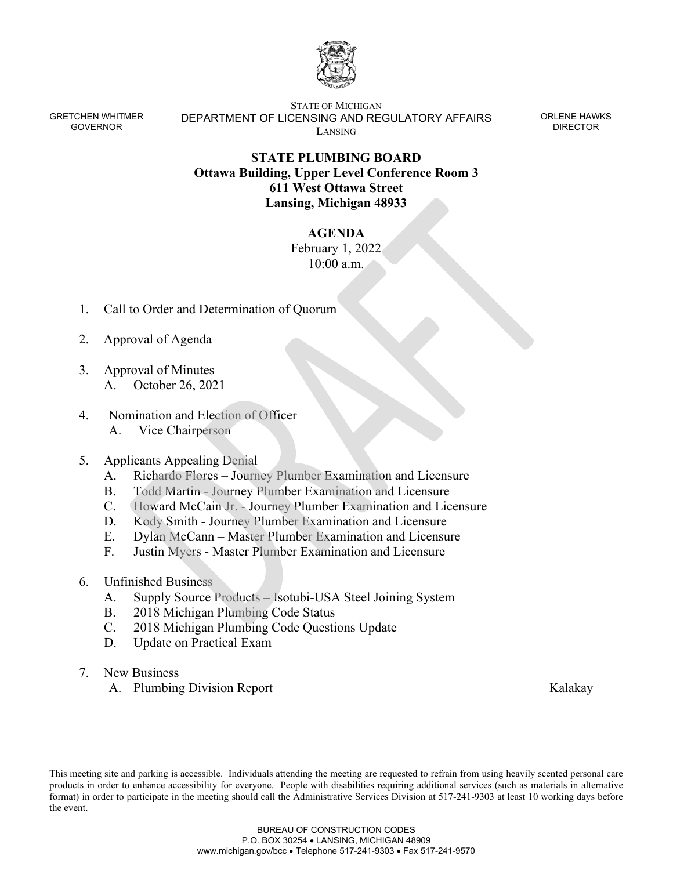

GRETCHEN WHITMER GOVERNOR

STATE OF MICHIGAN DEPARTMENT OF LICENSING AND REGULATORY AFFAIRS LANSING

ORLENE HAWKS DIRECTOR

## **STATE PLUMBING BOARD Ottawa Building, Upper Level Conference Room 3 611 West Ottawa Street Lansing, Michigan 48933**

## **AGENDA**

February 1, 2022 10:00 a.m.

- 1. Call to Order and Determination of Quorum
- 2. Approval of Agenda
- 3. Approval of Minutes A. October 26, 2021
- 4. Nomination and Election of Officer A. Vice Chairperson

## 5. Applicants Appealing Denial

- A. Richardo Flores Journey Plumber Examination and Licensure
- B. Todd Martin Journey Plumber Examination and Licensure
- C. Howard McCain Jr. Journey Plumber Examination and Licensure
- D. Kody Smith Journey Plumber Examination and Licensure
- E. Dylan McCann Master Plumber Examination and Licensure
- F. Justin Myers Master Plumber Examination and Licensure
- 6. Unfinished Business
	- A. Supply Source Products Isotubi-USA Steel Joining System
	- B. 2018 Michigan Plumbing Code Status
	- C. 2018 Michigan Plumbing Code Questions Update
	- D. Update on Practical Exam
- 7. New Business
	- A. Plumbing Division Report Kalakay

This meeting site and parking is accessible. Individuals attending the meeting are requested to refrain from using heavily scented personal care products in order to enhance accessibility for everyone. People with disabilities requiring additional services (such as materials in alternative format) in order to participate in the meeting should call the Administrative Services Division at 517-241-9303 at least 10 working days before the event.